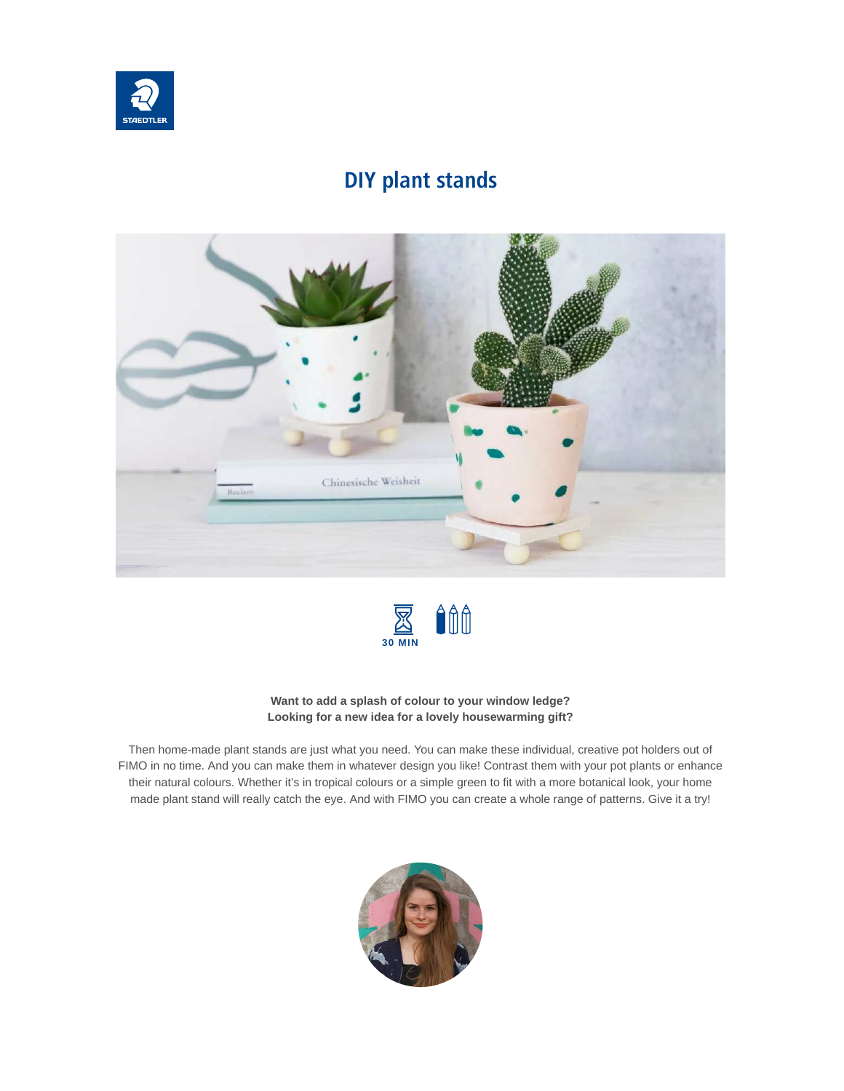

#### **DIY plant stands**





#### **Want to add a splash of colour to your window ledge? Looking for a new idea for a lovely housewarming gift?**

Then home-made plant stands are just what you need. You can make these individual, creative pot holders out of FIMO in no time. And you can make them in whatever design you like! Contrast them with your pot plants or enhance their natural colours. Whether it's in tropical colours or a simple green to fit with a more botanical look, your home made plant stand will really catch the eye. And with FIMO you can create a whole range of patterns. Give it a try!

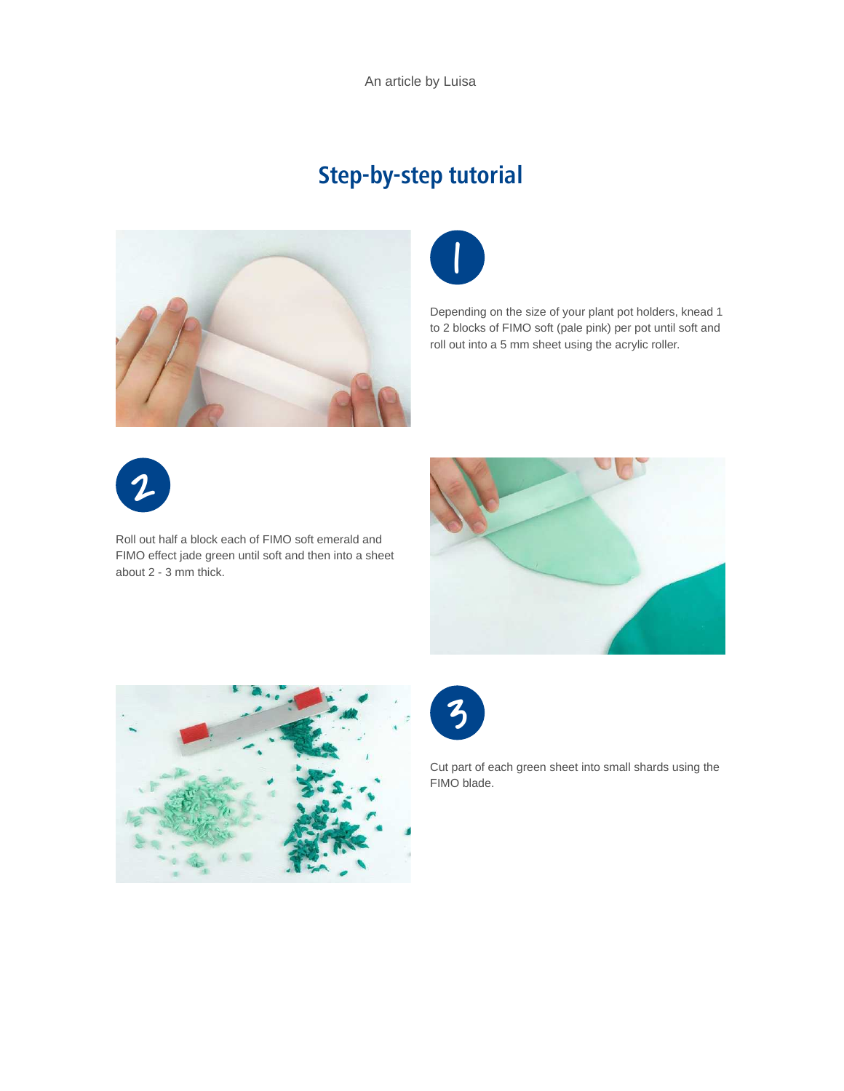An article by Luisa

# **Step-by-step tutorial**





Depending on the size of your plant pot holders, knead 1 to 2 blocks of FIMO soft (pale pink) per pot until soft and roll out into a 5 mm sheet using the acrylic roller.



Roll out half a block each of FIMO soft emerald and FIMO effect jade green until soft and then into a sheet about 2 - 3 mm thick.







Cut part of each green sheet into small shards using the FIMO blade.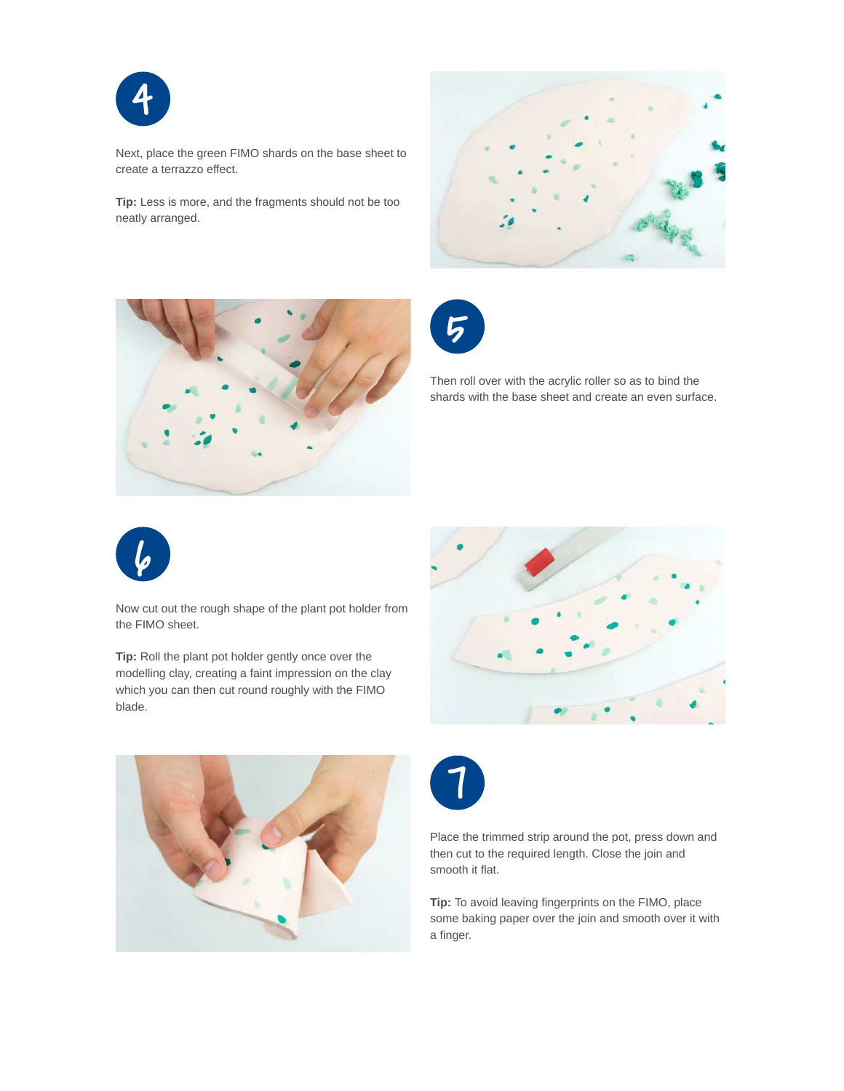

Next, place the green FIMO shards on the base sheet to create a terrazzo effect.

**Tip:** Less is more, and the fragments should not be too neatly arranged.







Then roll over with the acrylic roller so as to bind the shards with the base sheet and create an even surface.



Now cut out the rough shape of the plant pot holder from the FIMO sheet.

**Tip:** Roll the plant pot holder gently once over the modelling clay, creating a faint impression on the clay which you can then cut round roughly with the FIMO blade.







Place the trimmed strip around the pot, press down and then cut to the required length. Close the join and smooth it flat.

**Tip:** To avoid leaving fingerprints on the FIMO, place some baking paper over the join and smooth over it with a finger.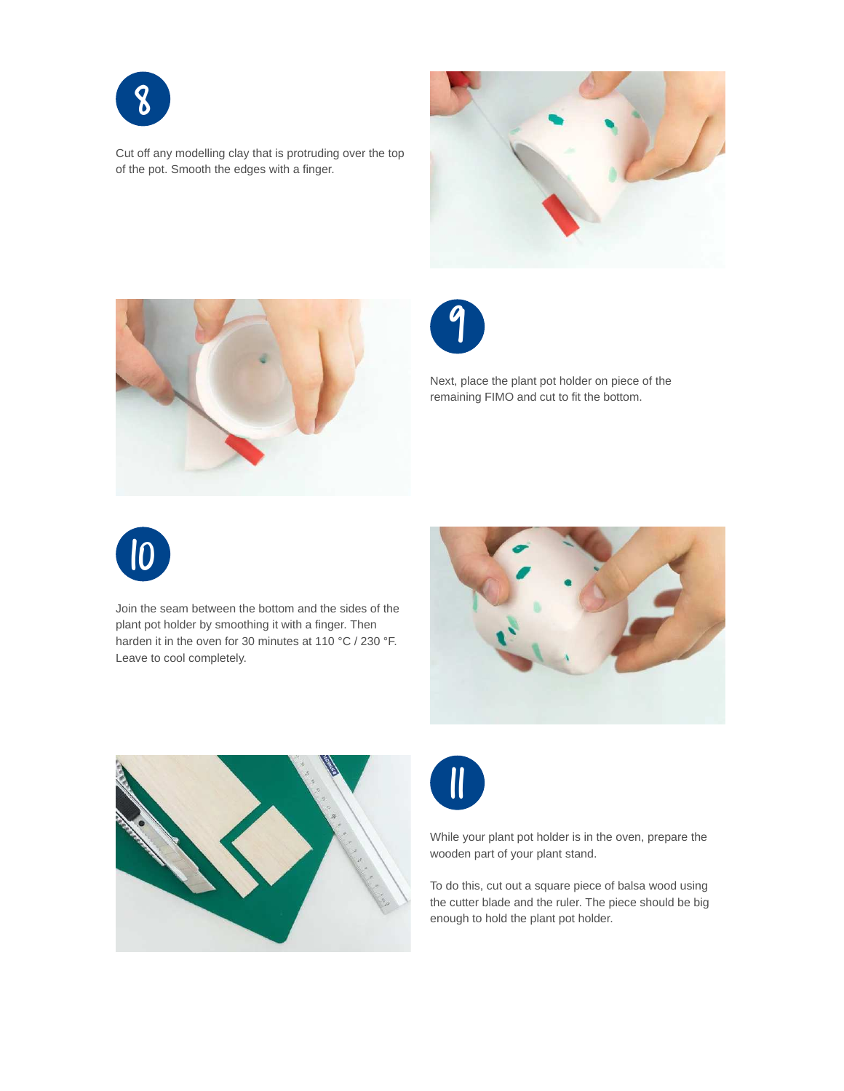

Cut off any modelling clay that is protruding over the top of the pot. Smooth the edges with a finger.







Next, place the plant pot holder on piece of the remaining FIMO and cut to fit the bottom.



Join the seam between the bottom and the sides of the plant pot holder by smoothing it with a finger. Then harden it in the oven for 30 minutes at 110 °C / 230 °F. Leave to cool completely.







While your plant pot holder is in the oven, prepare the wooden part of your plant stand.

To do this, cut out a square piece of balsa wood using the cutter blade and the ruler. The piece should be big enough to hold the plant pot holder.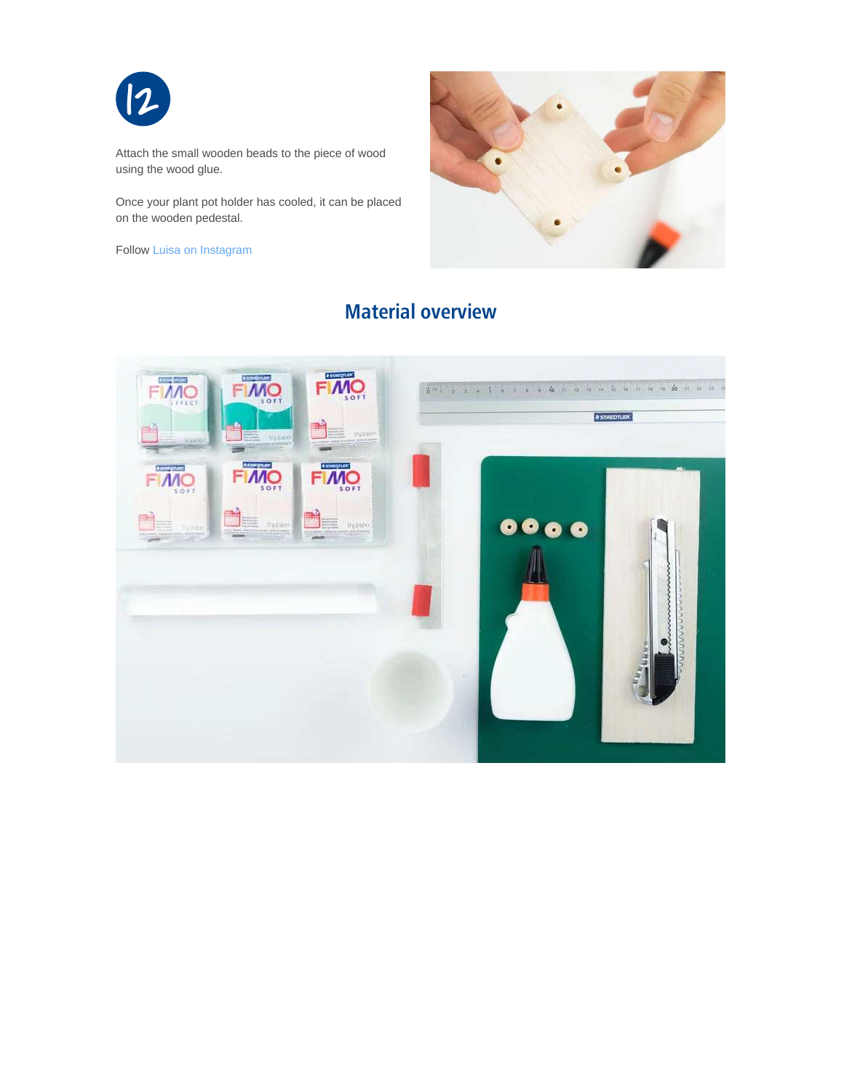

Attach the small wooden beads to the piece of wood using the wood glue.

Once your plant pot holder has cooled, it can be placed on the wooden pedestal.

Follow [Luisa on Instagram](https://www.instagram.com/schereleimpapier/)



### **Material overview**